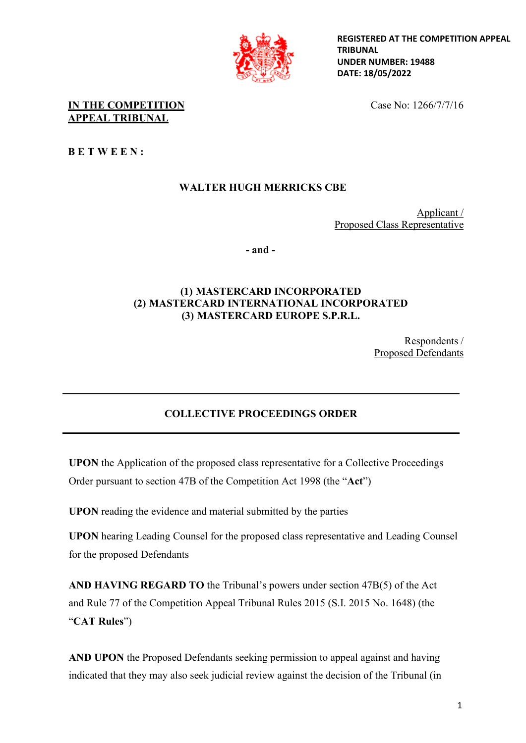

**REGISTERED AT THE COMPETITION APPEAL TRIBUNAL UNDER NUMBER: 19488 DATE: 18/05/2022**

**IN THE COMPETITION** Case No: 1266/7/7/16 **APPEAL TRIBUNAL**

**B E T W E E N :** 

# **WALTER HUGH MERRICKS CBE**

Applicant / Proposed Class Representative

**- and -**

## **(1) MASTERCARD INCORPORATED (2) MASTERCARD INTERNATIONAL INCORPORATED (3) MASTERCARD EUROPE S.P.R.L.**

Respondents / Proposed Defendants

# **COLLECTIVE PROCEEDINGS ORDER**

**UPON** the Application of the proposed class representative for a Collective Proceedings Order pursuant to section 47B of the Competition Act 1998 (the "**Act**")

**UPON** reading the evidence and material submitted by the parties

**UPON** hearing Leading Counsel for the proposed class representative and Leading Counsel for the proposed Defendants

**AND HAVING REGARD TO** the Tribunal's powers under section 47B(5) of the Act and Rule 77 of the Competition Appeal Tribunal Rules 2015 (S.I. 2015 No. 1648) (the "**CAT Rules**")

**AND UPON** the Proposed Defendants seeking permission to appeal against and having indicated that they may also seek judicial review against the decision of the Tribunal (in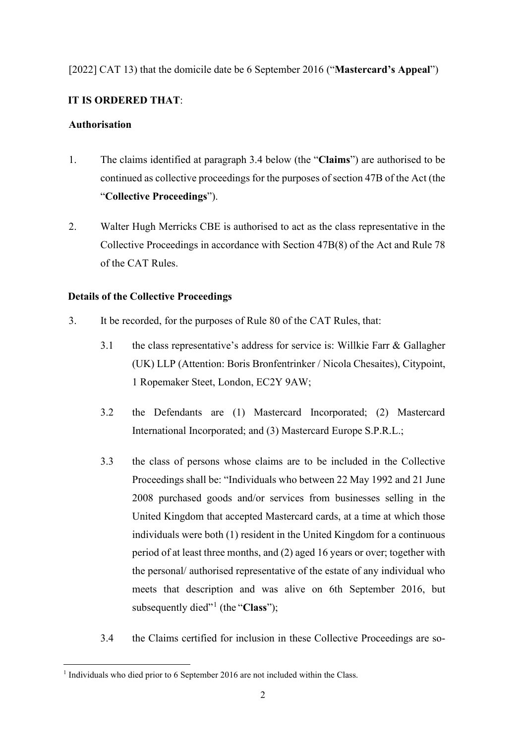## [2022] CAT 13) that the domicile date be 6 September 2016 ("**Mastercard's Appeal**")

### **IT IS ORDERED THAT**:

### **Authorisation**

- 1. The claims identified at paragraph 3.4 below (the "**Claims**") are authorised to be continued as collective proceedings for the purposes of section 47B of the Act (the "**Collective Proceedings**").
- 2. Walter Hugh Merricks CBE is authorised to act as the class representative in the Collective Proceedings in accordance with Section 47B(8) of the Act and Rule 78 of the CAT Rules.

## **Details of the Collective Proceedings**

- 3. It be recorded, for the purposes of Rule 80 of the CAT Rules, that:
	- 3.1 the class representative's address for service is: Willkie Farr & Gallagher (UK) LLP (Attention: Boris Bronfentrinker / Nicola Chesaites), Citypoint, 1 Ropemaker Steet, London, EC2Y 9AW;
	- 3.2 the Defendants are (1) Mastercard Incorporated; (2) Mastercard International Incorporated; and (3) Mastercard Europe S.P.R.L.;
	- 3.3 the class of persons whose claims are to be included in the Collective Proceedings shall be: "Individuals who between 22 May 1992 and 21 June 2008 purchased goods and/or services from businesses selling in the United Kingdom that accepted Mastercard cards, at a time at which those individuals were both (1) resident in the United Kingdom for a continuous period of at least three months, and (2) aged 16 years or over; together with the personal/ authorised representative of the estate of any individual who meets that description and was alive on 6th September 2016, but subsequently died"<sup>[1](#page-1-0)</sup> (the "Class");
	- 3.4 the Claims certified for inclusion in these Collective Proceedings are so-

<span id="page-1-0"></span><sup>&</sup>lt;sup>1</sup> Individuals who died prior to 6 September 2016 are not included within the Class.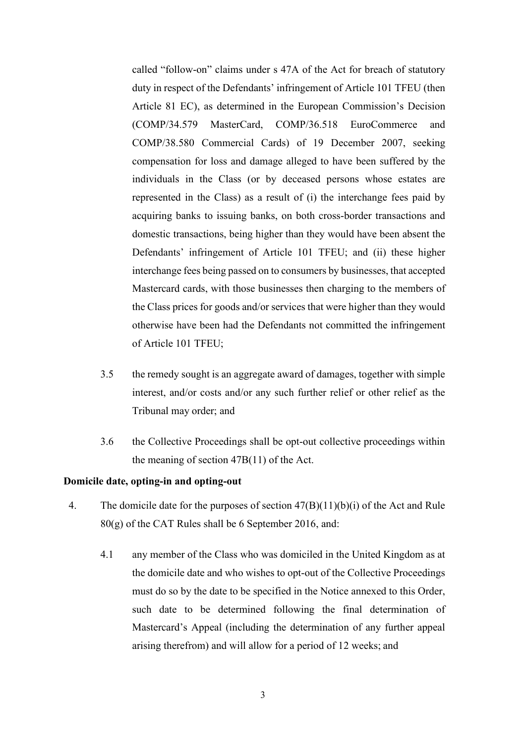called "follow-on" claims under s 47A of the Act for breach of statutory duty in respect of the Defendants' infringement of Article 101 TFEU (then Article 81 EC), as determined in the European Commission's Decision (COMP/34.579 MasterCard, COMP/36.518 EuroCommerce and COMP/38.580 Commercial Cards) of 19 December 2007, seeking compensation for loss and damage alleged to have been suffered by the individuals in the Class (or by deceased persons whose estates are represented in the Class) as a result of (i) the interchange fees paid by acquiring banks to issuing banks, on both cross-border transactions and domestic transactions, being higher than they would have been absent the Defendants' infringement of Article 101 TFEU; and (ii) these higher interchange fees being passed on to consumers by businesses, that accepted Mastercard cards, with those businesses then charging to the members of the Class prices for goods and/or services that were higher than they would otherwise have been had the Defendants not committed the infringement of Article 101 TFEU;

- 3.5 the remedy sought is an aggregate award of damages, together with simple interest, and/or costs and/or any such further relief or other relief as the Tribunal may order; and
- 3.6 the Collective Proceedings shall be opt-out collective proceedings within the meaning of section 47B(11) of the Act.

#### **Domicile date, opting-in and opting-out**

- 4. The domicile date for the purposes of section 47(B)(11)(b)(i) of the Act and Rule 80(g) of the CAT Rules shall be 6 September 2016, and:
	- 4.1 any member of the Class who was domiciled in the United Kingdom as at the domicile date and who wishes to opt-out of the Collective Proceedings must do so by the date to be specified in the Notice annexed to this Order, such date to be determined following the final determination of Mastercard's Appeal (including the determination of any further appeal arising therefrom) and will allow for a period of 12 weeks; and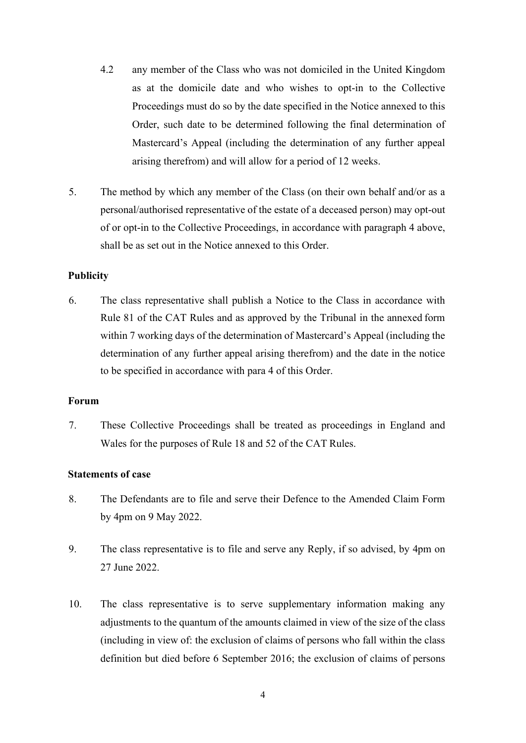- 4.2 any member of the Class who was not domiciled in the United Kingdom as at the domicile date and who wishes to opt-in to the Collective Proceedings must do so by the date specified in the Notice annexed to this Order, such date to be determined following the final determination of Mastercard's Appeal (including the determination of any further appeal arising therefrom) and will allow for a period of 12 weeks.
- 5. The method by which any member of the Class (on their own behalf and/or as a personal/authorised representative of the estate of a deceased person) may opt-out of or opt-in to the Collective Proceedings, in accordance with paragraph 4 above, shall be as set out in the Notice annexed to this Order.

#### **Publicity**

6. The class representative shall publish a Notice to the Class in accordance with Rule 81 of the CAT Rules and as approved by the Tribunal in the annexed form within 7 working days of the determination of Mastercard's Appeal (including the determination of any further appeal arising therefrom) and the date in the notice to be specified in accordance with para 4 of this Order.

#### **Forum**

7. These Collective Proceedings shall be treated as proceedings in England and Wales for the purposes of Rule 18 and 52 of the CAT Rules.

#### **Statements of case**

- 8. The Defendants are to file and serve their Defence to the Amended Claim Form by 4pm on 9 May 2022.
- 9. The class representative is to file and serve any Reply, if so advised, by 4pm on 27 June 2022.
- 10. The class representative is to serve supplementary information making any adjustments to the quantum of the amounts claimed in view of the size of the class (including in view of: the exclusion of claims of persons who fall within the class definition but died before 6 September 2016; the exclusion of claims of persons